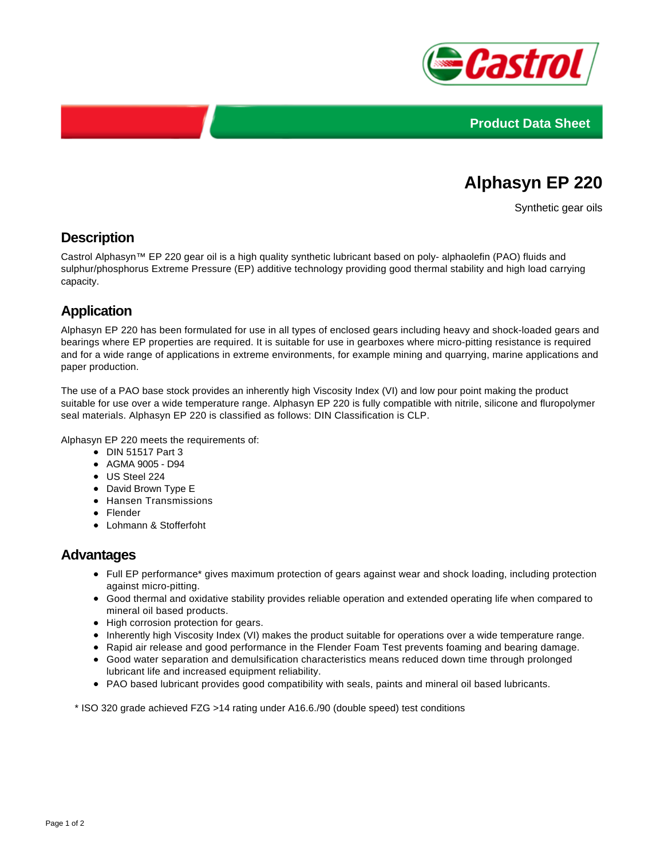



# **Alphasyn EP 220**

Synthetic gear oils

## **Description**

Castrol Alphasyn™ EP 220 gear oil is a high quality synthetic lubricant based on poly- alphaolefin (PAO) fluids and sulphur/phosphorus Extreme Pressure (EP) additive technology providing good thermal stability and high load carrying capacity.

# **Application**

Alphasyn EP 220 has been formulated for use in all types of enclosed gears including heavy and shock-loaded gears and bearings where EP properties are required. It is suitable for use in gearboxes where micro-pitting resistance is required and for a wide range of applications in extreme environments, for example mining and quarrying, marine applications and paper production.

The use of a PAO base stock provides an inherently high Viscosity Index (VI) and low pour point making the product suitable for use over a wide temperature range. Alphasyn EP 220 is fully compatible with nitrile, silicone and fluropolymer seal materials. Alphasyn EP 220 is classified as follows: DIN Classification is CLP.

Alphasyn EP 220 meets the requirements of:

- DIN 51517 Part 3
- AGMA 9005 D94
- US Steel 224
- David Brown Type E
- Hansen Transmissions
- Flender
- Lohmann & Stofferfoht

#### **Advantages**

- Full EP performance\* gives maximum protection of gears against wear and shock loading, including protection against micro-pitting.
- Good thermal and oxidative stability provides reliable operation and extended operating life when compared to mineral oil based products.
- High corrosion protection for gears.
- Inherently high Viscosity Index (VI) makes the product suitable for operations over a wide temperature range.
- Rapid air release and good performance in the Flender Foam Test prevents foaming and bearing damage.
- Good water separation and demulsification characteristics means reduced down time through prolonged lubricant life and increased equipment reliability.
- PAO based lubricant provides good compatibility with seals, paints and mineral oil based lubricants.

\* ISO 320 grade achieved FZG >14 rating under A16.6./90 (double speed) test conditions